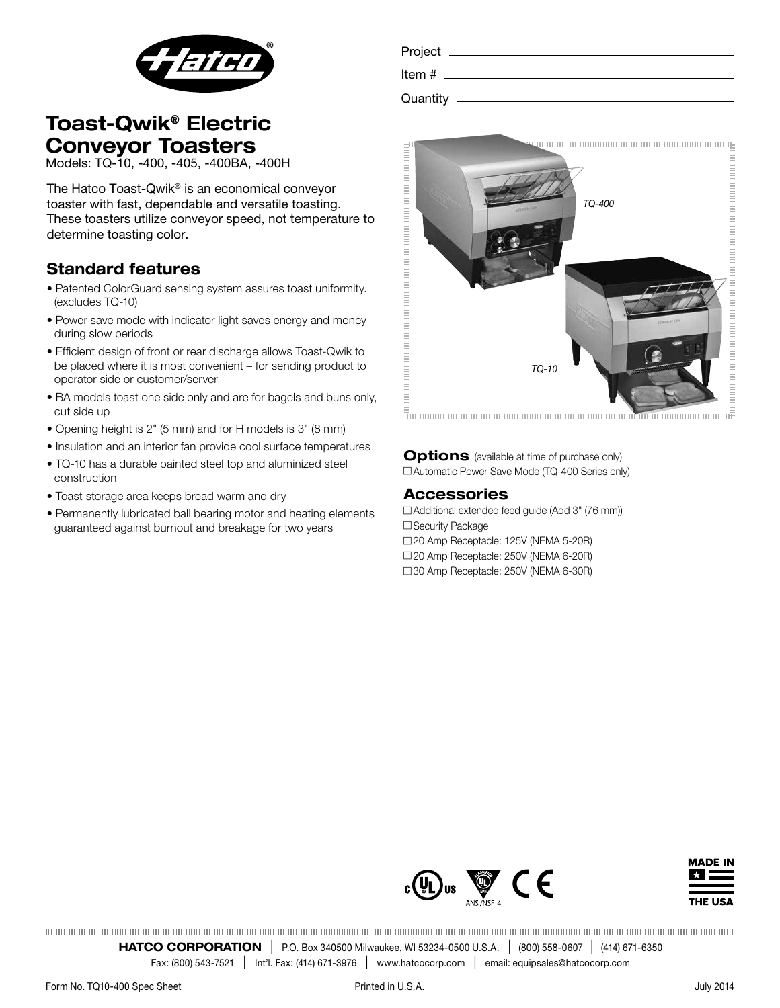

| <b>Toast-Qwik® Electric</b> |  |
|-----------------------------|--|
| <b>Conveyor Toasters</b>    |  |

Models: TQ-10, -400, -405, -400BA, -400H

The Hatco Toast-Qwik® is an economical conveyor toaster with fast, dependable and versatile toasting. These toasters utilize conveyor speed, not temperature to determine toasting color.

### Standard features

- Patented ColorGuard sensing system assures toast uniformity. (excludes TQ-10)
- Power save mode with indicator light saves energy and money during slow periods
- Efficient design of front or rear discharge allows Toast-Qwik to be placed where it is most convenient – for sending product to operator side or customer/server
- BA models toast one side only and are for bagels and buns only, cut side up
- Opening height is 2" (5 mm) and for H models is 3" (8 mm)
- Insulation and an interior fan provide cool surface temperatures
- TQ-10 has a durable painted steel top and aluminized steel construction
- Toast storage area keeps bread warm and dry
- Permanently lubricated ball bearing motor and heating elements guaranteed against burnout and breakage for two years

| Project _  |  |  |  |
|------------|--|--|--|
| Item#      |  |  |  |
| Quantity - |  |  |  |
|            |  |  |  |



Options (available at time of purchase only) □ Automatic Power Save Mode (TQ-400 Series only)

#### Accessories

 $\Box$  Additional extended feed quide (Add 3" (76 mm)) □ Security Package

□20 Amp Receptacle: 125V (NEMA 5-20R)

□ 20 Amp Receptacle: 250V (NEMA 6-20R)

□ 30 Amp Receptacle: 250V (NEMA 6-30R)





**HATCO CORPORATION** | P.O. Box 340500 Milwaukee, WI 53234-0500 U.S.A. | (800) 558-0607 | (414) 671-6350

Fax: (800) 543-7521 <sup>l</sup> Int'l. Fax: (414) 671-3976 <sup>l</sup> www.hatcocorp.com <sup>l</sup> email: equipsales@hatcocorp.com